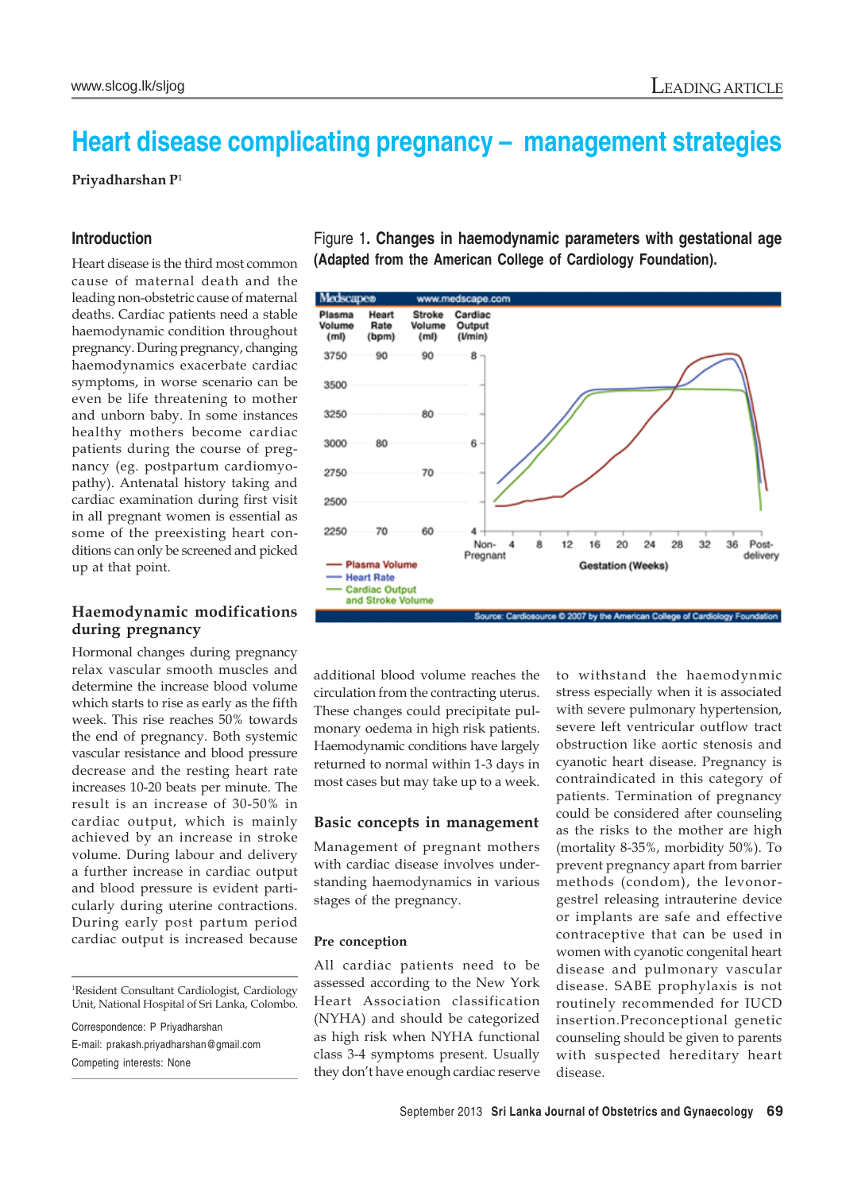# **Heart disease complicating pregnancy – management strategies**

Priyadharshan P<sup>1</sup>

# **Introduction**

Heart disease is the third most common cause of maternal death and the leading non-obstetric cause of maternal deaths. Cardiac patients need a stable haemodynamic condition throughout pregnancy. During pregnancy, changing haemodynamics exacerbate cardiac symptoms, in worse scenario can be even be life threatening to mother and unborn baby. In some instances healthy mothers become cardiac patients during the course of pregnancy (eg. postpartum cardiomyopathy). Antenatal history taking and cardiac examination during first visit in all pregnant women is essential as some of the preexisting heart conditions can only be screened and picked up at that point.

# **Haemodynamic modifications during pregnancy**

Hormonal changes during pregnancy relax vascular smooth muscles and determine the increase blood volume which starts to rise as early as the fifth week. This rise reaches 50% towards the end of pregnancy. Both systemic vascular resistance and blood pressure decrease and the resting heart rate increases 10-20 beats per minute. The result is an increase of 30-50% in cardiac output, which is mainly achieved by an increase in stroke volume. During labour and delivery a further increase in cardiac output and blood pressure is evident particularly during uterine contractions. During early post partum period cardiac output is increased because

Correspondence: P Priyadharshan E-mail: prakash.priyadharshan@gmail.com Competing interests: None

Figure 1**. Changes in haemodynamic parameters with gestational age (Adapted from the American College of Cardiology Foundation).**



additional blood volume reaches the circulation from the contracting uterus. These changes could precipitate pulmonary oedema in high risk patients. Haemodynamic conditions have largely returned to normal within 1-3 days in most cases but may take up to a week.

### **Basic concepts in management**

Management of pregnant mothers with cardiac disease involves understanding haemodynamics in various stages of the pregnancy.

### **Pre conception**

All cardiac patients need to be assessed according to the New York Heart Association classification (NYHA) and should be categorized as high risk when NYHA functional class 3-4 symptoms present. Usually they don't have enough cardiac reserve to withstand the haemodynmic stress especially when it is associated with severe pulmonary hypertension, severe left ventricular outflow tract obstruction like aortic stenosis and cyanotic heart disease. Pregnancy is contraindicated in this category of patients. Termination of pregnancy could be considered after counseling as the risks to the mother are high (mortality 8-35%, morbidity 50%). To prevent pregnancy apart from barrier methods (condom), the levonorgestrel releasing intrauterine device or implants are safe and effective contraceptive that can be used in women with cyanotic congenital heart disease and pulmonary vascular disease. SABE prophylaxis is not routinely recommended for IUCD insertion.Preconceptional genetic counseling should be given to parents with suspected hereditary heart disease.

<sup>1</sup> Resident Consultant Cardiologist, Cardiology Unit, National Hospital of Sri Lanka, Colombo.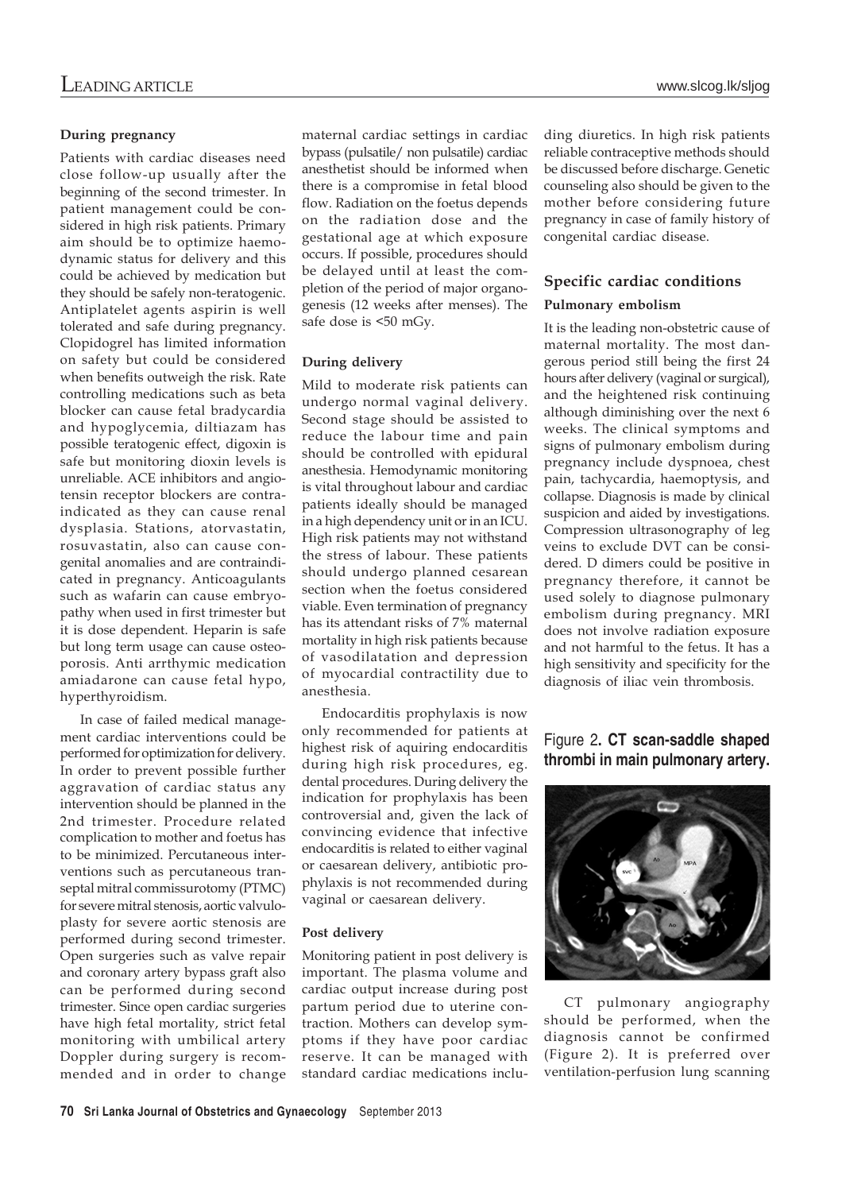### **During pregnancy**

Patients with cardiac diseases need close follow-up usually after the beginning of the second trimester. In patient management could be considered in high risk patients. Primary aim should be to optimize haemodynamic status for delivery and this could be achieved by medication but they should be safely non-teratogenic. Antiplatelet agents aspirin is well tolerated and safe during pregnancy. Clopidogrel has limited information on safety but could be considered when benefits outweigh the risk. Rate controlling medications such as beta blocker can cause fetal bradycardia and hypoglycemia, diltiazam has possible teratogenic effect, digoxin is safe but monitoring dioxin levels is unreliable. ACE inhibitors and angiotensin receptor blockers are contraindicated as they can cause renal dysplasia. Stations, atorvastatin, rosuvastatin, also can cause congenital anomalies and are contraindicated in pregnancy. Anticoagulants such as wafarin can cause embryopathy when used in first trimester but it is dose dependent. Heparin is safe but long term usage can cause osteoporosis. Anti arrthymic medication amiadarone can cause fetal hypo, hyperthyroidism.

In case of failed medical management cardiac interventions could be performed for optimization for delivery. In order to prevent possible further aggravation of cardiac status any intervention should be planned in the 2nd trimester. Procedure related complication to mother and foetus has to be minimized. Percutaneous interventions such as percutaneous transeptal mitral commissurotomy (PTMC) for severe mitral stenosis, aortic valvuloplasty for severe aortic stenosis are performed during second trimester. Open surgeries such as valve repair and coronary artery bypass graft also can be performed during second trimester. Since open cardiac surgeries have high fetal mortality, strict fetal monitoring with umbilical artery Doppler during surgery is recommended and in order to change

maternal cardiac settings in cardiac bypass (pulsatile/ non pulsatile) cardiac anesthetist should be informed when there is a compromise in fetal blood flow. Radiation on the foetus depends on the radiation dose and the gestational age at which exposure occurs. If possible, procedures should be delayed until at least the completion of the period of major organogenesis (12 weeks after menses). The safe dose is <50 mGy.

### **During delivery**

Mild to moderate risk patients can undergo normal vaginal delivery. Second stage should be assisted to reduce the labour time and pain should be controlled with epidural anesthesia. Hemodynamic monitoring is vital throughout labour and cardiac patients ideally should be managed in a high dependency unit or in an ICU. High risk patients may not withstand the stress of labour. These patients should undergo planned cesarean section when the foetus considered viable. Even termination of pregnancy has its attendant risks of 7% maternal mortality in high risk patients because of vasodilatation and depression of myocardial contractility due to anesthesia.

Endocarditis prophylaxis is now only recommended for patients at highest risk of aquiring endocarditis during high risk procedures, eg. dental procedures. During delivery the indication for prophylaxis has been controversial and, given the lack of convincing evidence that infective endocarditis is related to either vaginal or caesarean delivery, antibiotic prophylaxis is not recommended during vaginal or caesarean delivery.

### **Post delivery**

Monitoring patient in post delivery is important. The plasma volume and cardiac output increase during post partum period due to uterine contraction. Mothers can develop symptoms if they have poor cardiac reserve. It can be managed with standard cardiac medications including diuretics. In high risk patients reliable contraceptive methods should be discussed before discharge. Genetic counseling also should be given to the mother before considering future pregnancy in case of family history of congenital cardiac disease.

# **Specific cardiac conditions Pulmonary embolism**

It is the leading non-obstetric cause of maternal mortality. The most dangerous period still being the first 24 hours after delivery (vaginal or surgical), and the heightened risk continuing although diminishing over the next 6 weeks. The clinical symptoms and signs of pulmonary embolism during pregnancy include dyspnoea, chest pain, tachycardia, haemoptysis, and collapse. Diagnosis is made by clinical suspicion and aided by investigations. Compression ultrasonography of leg veins to exclude DVT can be considered. D dimers could be positive in pregnancy therefore, it cannot be used solely to diagnose pulmonary embolism during pregnancy. MRI does not involve radiation exposure and not harmful to the fetus. It has a high sensitivity and specificity for the diagnosis of iliac vein thrombosis.

# Figure 2**. CT scan-saddle shaped thrombi in main pulmonary artery.**



CT pulmonary angiography should be performed, when the diagnosis cannot be confirmed (Figure 2). It is preferred over ventilation-perfusion lung scanning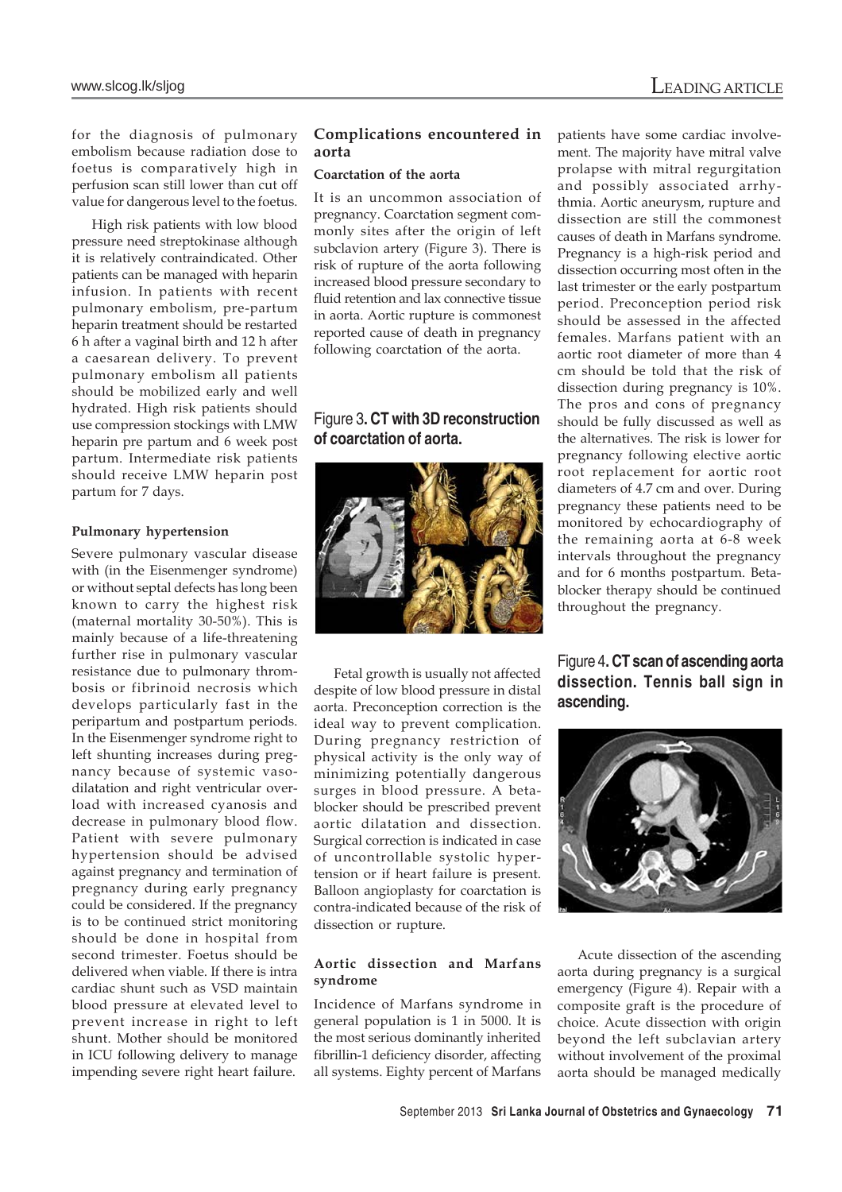for the diagnosis of pulmonary embolism because radiation dose to foetus is comparatively high in perfusion scan still lower than cut off value for dangerous level to the foetus.

High risk patients with low blood pressure need streptokinase although it is relatively contraindicated. Other patients can be managed with heparin infusion. In patients with recent pulmonary embolism, pre-partum heparin treatment should be restarted 6 h after a vaginal birth and 12 h after a caesarean delivery. To prevent pulmonary embolism all patients should be mobilized early and well hydrated. High risk patients should use compression stockings with LMW heparin pre partum and 6 week post partum. Intermediate risk patients should receive LMW heparin post partum for 7 days.

# **Pulmonary hypertension**

Severe pulmonary vascular disease with (in the Eisenmenger syndrome) or without septal defects has long been known to carry the highest risk (maternal mortality 30-50%). This is mainly because of a life-threatening further rise in pulmonary vascular resistance due to pulmonary thrombosis or fibrinoid necrosis which develops particularly fast in the peripartum and postpartum periods. In the Eisenmenger syndrome right to left shunting increases during pregnancy because of systemic vasodilatation and right ventricular overload with increased cyanosis and decrease in pulmonary blood flow. Patient with severe pulmonary hypertension should be advised against pregnancy and termination of pregnancy during early pregnancy could be considered. If the pregnancy is to be continued strict monitoring should be done in hospital from second trimester. Foetus should be delivered when viable. If there is intra cardiac shunt such as VSD maintain blood pressure at elevated level to prevent increase in right to left shunt. Mother should be monitored in ICU following delivery to manage impending severe right heart failure.

# **Complications encountered in aorta**

### **Coarctation of the aorta**

It is an uncommon association of pregnancy. Coarctation segment commonly sites after the origin of left subclavion artery (Figure 3). There is risk of rupture of the aorta following increased blood pressure secondary to fluid retention and lax connective tissue in aorta. Aortic rupture is commonest reported cause of death in pregnancy following coarctation of the aorta.

# Figure 3**. CT with 3D reconstruction of coarctation of aorta.**



Fetal growth is usually not affected despite of low blood pressure in distal aorta. Preconception correction is the ideal way to prevent complication. During pregnancy restriction of physical activity is the only way of minimizing potentially dangerous surges in blood pressure. A betablocker should be prescribed prevent aortic dilatation and dissection. Surgical correction is indicated in case of uncontrollable systolic hypertension or if heart failure is present. Balloon angioplasty for coarctation is contra-indicated because of the risk of dissection or rupture.

# **Aortic dissection and Marfans syndrome**

Incidence of Marfans syndrome in general population is 1 in 5000. It is the most serious dominantly inherited fibrillin-1 deficiency disorder, affecting all systems. Eighty percent of Marfans

patients have some cardiac involvement. The majority have mitral valve prolapse with mitral regurgitation and possibly associated arrhythmia. Aortic aneurysm, rupture and dissection are still the commonest causes of death in Marfans syndrome. Pregnancy is a high-risk period and dissection occurring most often in the last trimester or the early postpartum period. Preconception period risk should be assessed in the affected females. Marfans patient with an aortic root diameter of more than 4 cm should be told that the risk of dissection during pregnancy is 10%. The pros and cons of pregnancy should be fully discussed as well as the alternatives. The risk is lower for pregnancy following elective aortic root replacement for aortic root diameters of 4.7 cm and over. During pregnancy these patients need to be monitored by echocardiography of the remaining aorta at 6-8 week intervals throughout the pregnancy and for 6 months postpartum. Betablocker therapy should be continued throughout the pregnancy.

# Figure 4**. CT scan of ascending aorta dissection. Tennis ball sign in ascending.**



Acute dissection of the ascending aorta during pregnancy is a surgical emergency (Figure 4). Repair with a composite graft is the procedure of choice. Acute dissection with origin beyond the left subclavian artery without involvement of the proximal aorta should be managed medically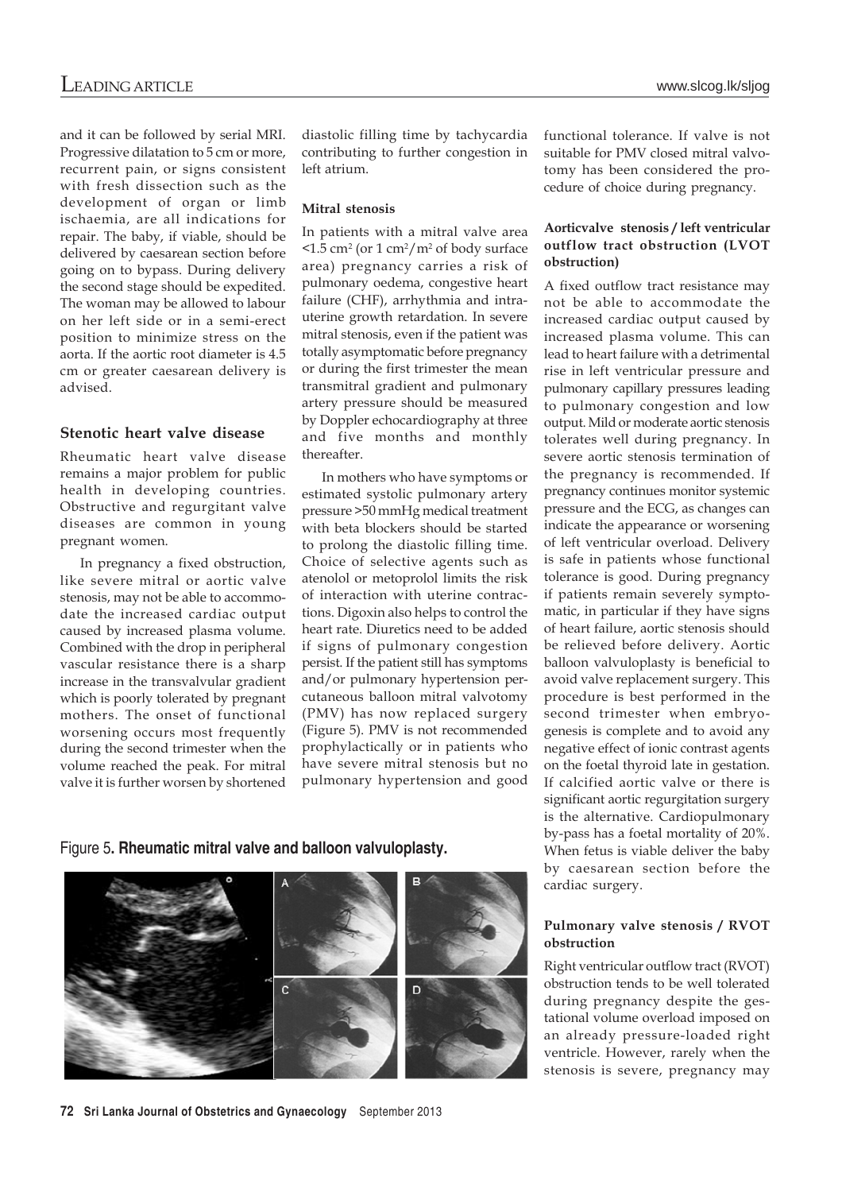and it can be followed by serial MRI. Progressive dilatation to 5 cm or more, recurrent pain, or signs consistent with fresh dissection such as the development of organ or limb ischaemia, are all indications for repair. The baby, if viable, should be delivered by caesarean section before going on to bypass. During delivery the second stage should be expedited. The woman may be allowed to labour on her left side or in a semi-erect position to minimize stress on the aorta. If the aortic root diameter is 4.5 cm or greater caesarean delivery is advised.

# **Stenotic heart valve disease**

Rheumatic heart valve disease remains a major problem for public health in developing countries. Obstructive and regurgitant valve diseases are common in young pregnant women.

In pregnancy a fixed obstruction, like severe mitral or aortic valve stenosis, may not be able to accommodate the increased cardiac output caused by increased plasma volume. Combined with the drop in peripheral vascular resistance there is a sharp increase in the transvalvular gradient which is poorly tolerated by pregnant mothers. The onset of functional worsening occurs most frequently during the second trimester when the volume reached the peak. For mitral valve it is further worsen by shortened

diastolic filling time by tachycardia contributing to further congestion in left atrium.

# **Mitral stenosis**

In patients with a mitral valve area  $\leq 1.5$  cm<sup>2</sup> (or 1 cm<sup>2</sup>/m<sup>2</sup> of body surface area) pregnancy carries a risk of pulmonary oedema, congestive heart failure (CHF), arrhythmia and intrauterine growth retardation. In severe mitral stenosis, even if the patient was totally asymptomatic before pregnancy or during the first trimester the mean transmitral gradient and pulmonary artery pressure should be measured by Doppler echocardiography at three and five months and monthly thereafter.

In mothers who have symptoms or estimated systolic pulmonary artery pressure >50 mmHg medical treatment with beta blockers should be started to prolong the diastolic filling time. Choice of selective agents such as atenolol or metoprolol limits the risk of interaction with uterine contractions. Digoxin also helps to control the heart rate. Diuretics need to be added if signs of pulmonary congestion persist. If the patient still has symptoms and/or pulmonary hypertension percutaneous balloon mitral valvotomy (PMV) has now replaced surgery (Figure 5). PMV is not recommended prophylactically or in patients who have severe mitral stenosis but no pulmonary hypertension and good functional tolerance. If valve is not suitable for PMV closed mitral valvotomy has been considered the procedure of choice during pregnancy.

# **Aorticvalve stenosis / left ventricular outflow tract obstruction (LVOT obstruction)**

A fixed outflow tract resistance may not be able to accommodate the increased cardiac output caused by increased plasma volume. This can lead to heart failure with a detrimental rise in left ventricular pressure and pulmonary capillary pressures leading to pulmonary congestion and low output. Mild or moderate aortic stenosis tolerates well during pregnancy. In severe aortic stenosis termination of the pregnancy is recommended. If pregnancy continues monitor systemic pressure and the ECG, as changes can indicate the appearance or worsening of left ventricular overload. Delivery is safe in patients whose functional tolerance is good. During pregnancy if patients remain severely symptomatic, in particular if they have signs of heart failure, aortic stenosis should be relieved before delivery. Aortic balloon valvuloplasty is beneficial to avoid valve replacement surgery. This procedure is best performed in the second trimester when embryogenesis is complete and to avoid any negative effect of ionic contrast agents on the foetal thyroid late in gestation. If calcified aortic valve or there is significant aortic regurgitation surgery is the alternative. Cardiopulmonary by-pass has a foetal mortality of 20%. When fetus is viable deliver the baby by caesarean section before the cardiac surgery.

### **Pulmonary valve stenosis / RVOT obstruction**

Right ventricular outflow tract (RVOT) obstruction tends to be well tolerated during pregnancy despite the gestational volume overload imposed on an already pressure-loaded right ventricle. However, rarely when the stenosis is severe, pregnancy may

# Figure 5**. Rheumatic mitral valve and balloon valvuloplasty.**



**72 Sri Lanka Journal of Obstetrics and Gynaecology** September 2013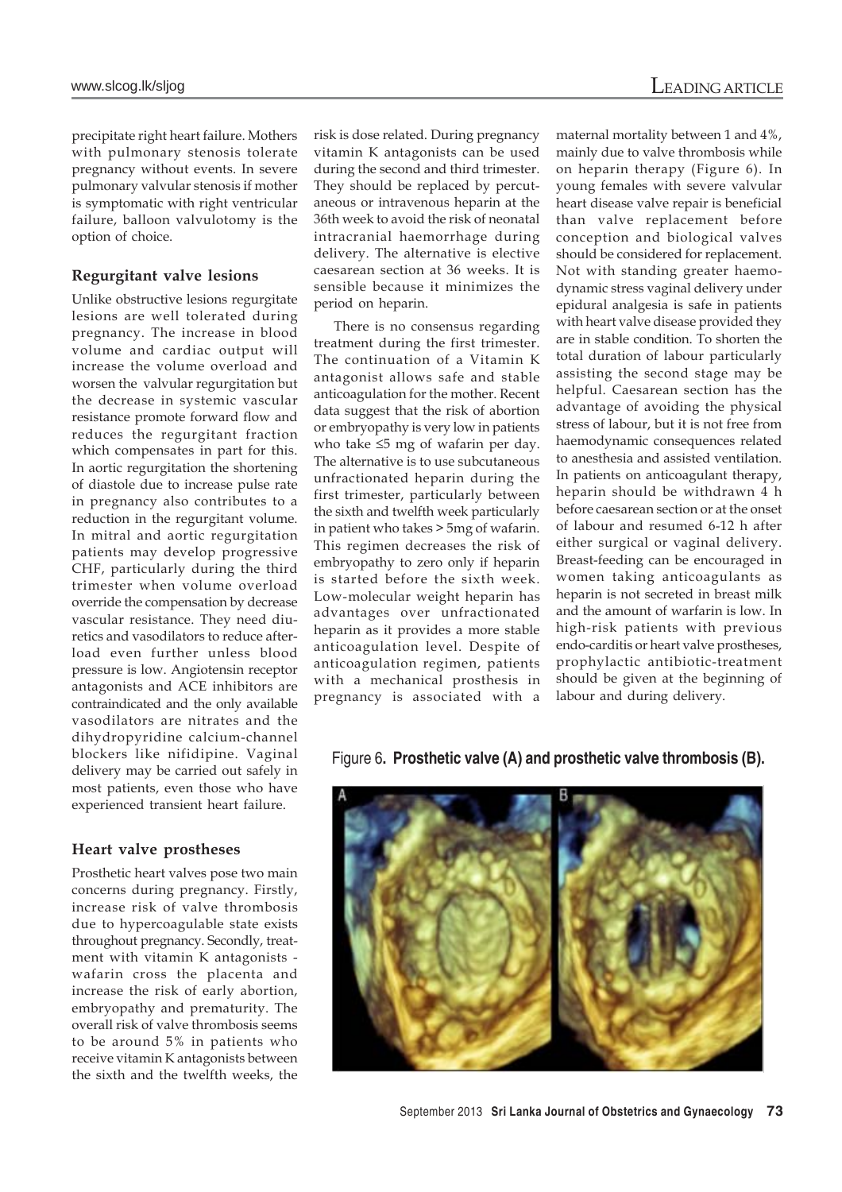precipitate right heart failure. Mothers with pulmonary stenosis tolerate pregnancy without events. In severe pulmonary valvular stenosis if mother is symptomatic with right ventricular failure, balloon valvulotomy is the option of choice.

# **Regurgitant valve lesions**

Unlike obstructive lesions regurgitate lesions are well tolerated during pregnancy. The increase in blood volume and cardiac output will increase the volume overload and worsen the valvular regurgitation but the decrease in systemic vascular resistance promote forward flow and reduces the regurgitant fraction which compensates in part for this. In aortic regurgitation the shortening of diastole due to increase pulse rate in pregnancy also contributes to a reduction in the regurgitant volume. In mitral and aortic regurgitation patients may develop progressive CHF, particularly during the third trimester when volume overload override the compensation by decrease vascular resistance. They need diuretics and vasodilators to reduce afterload even further unless blood pressure is low. Angiotensin receptor antagonists and ACE inhibitors are contraindicated and the only available vasodilators are nitrates and the dihydropyridine calcium-channel blockers like nifidipine. Vaginal delivery may be carried out safely in most patients, even those who have experienced transient heart failure.

# **Heart valve prostheses**

Prosthetic heart valves pose two main concerns during pregnancy. Firstly, increase risk of valve thrombosis due to hypercoagulable state exists throughout pregnancy. Secondly, treatment with vitamin K antagonists wafarin cross the placenta and increase the risk of early abortion, embryopathy and prematurity. The overall risk of valve thrombosis seems to be around 5% in patients who receive vitamin K antagonists between the sixth and the twelfth weeks, the risk is dose related. During pregnancy vitamin K antagonists can be used during the second and third trimester. They should be replaced by percutaneous or intravenous heparin at the 36th week to avoid the risk of neonatal intracranial haemorrhage during delivery. The alternative is elective caesarean section at 36 weeks. It is sensible because it minimizes the period on heparin.

There is no consensus regarding treatment during the first trimester. The continuation of a Vitamin K antagonist allows safe and stable anticoagulation for the mother. Recent data suggest that the risk of abortion or embryopathy is very low in patients who take ≤5 mg of wafarin per day. The alternative is to use subcutaneous unfractionated heparin during the first trimester, particularly between the sixth and twelfth week particularly in patient who takes > 5mg of wafarin. This regimen decreases the risk of embryopathy to zero only if heparin is started before the sixth week. Low-molecular weight heparin has advantages over unfractionated heparin as it provides a more stable anticoagulation level. Despite of anticoagulation regimen, patients with a mechanical prosthesis in pregnancy is associated with a maternal mortality between 1 and 4%, mainly due to valve thrombosis while on heparin therapy (Figure 6). In young females with severe valvular heart disease valve repair is beneficial than valve replacement before conception and biological valves should be considered for replacement. Not with standing greater haemodynamic stress vaginal delivery under epidural analgesia is safe in patients with heart valve disease provided they are in stable condition. To shorten the total duration of labour particularly assisting the second stage may be helpful. Caesarean section has the advantage of avoiding the physical stress of labour, but it is not free from haemodynamic consequences related to anesthesia and assisted ventilation. In patients on anticoagulant therapy, heparin should be withdrawn 4 h before caesarean section or at the onset of labour and resumed 6-12 h after either surgical or vaginal delivery. Breast-feeding can be encouraged in women taking anticoagulants as heparin is not secreted in breast milk and the amount of warfarin is low. In high-risk patients with previous endo-carditis or heart valve prostheses, prophylactic antibiotic-treatment should be given at the beginning of labour and during delivery.

Figure 6**. Prosthetic valve (A) and prosthetic valve thrombosis (B).**

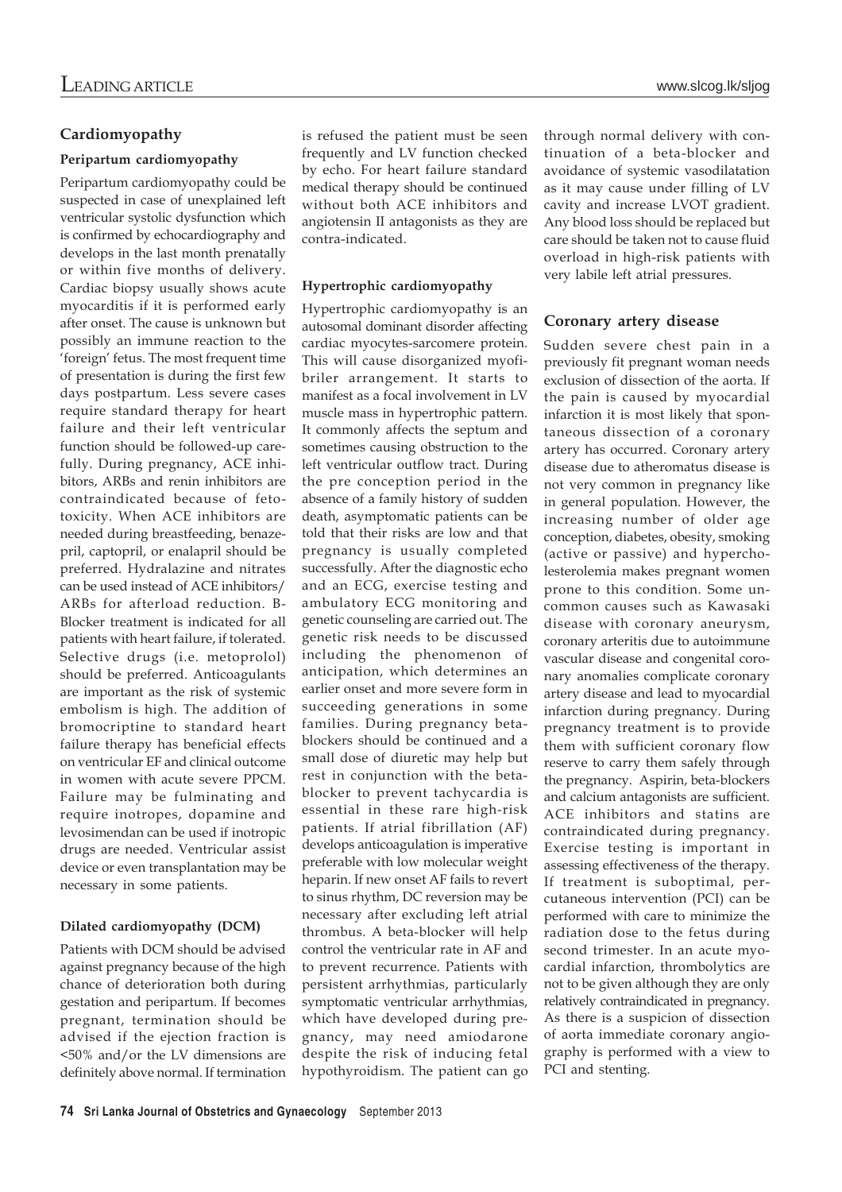# **Cardiomyopathy**

# **Peripartum cardiomyopathy**

Peripartum cardiomyopathy could be suspected in case of unexplained left ventricular systolic dysfunction which is confirmed by echocardiography and develops in the last month prenatally or within five months of delivery. Cardiac biopsy usually shows acute myocarditis if it is performed early after onset. The cause is unknown but possibly an immune reaction to the 'foreign' fetus. The most frequent time of presentation is during the first few days postpartum. Less severe cases require standard therapy for heart failure and their left ventricular function should be followed-up carefully. During pregnancy, ACE inhibitors, ARBs and renin inhibitors are contraindicated because of fetotoxicity. When ACE inhibitors are needed during breastfeeding, benazepril, captopril, or enalapril should be preferred. Hydralazine and nitrates can be used instead of ACE inhibitors/ ARBs for afterload reduction. B-Blocker treatment is indicated for all patients with heart failure, if tolerated. Selective drugs (i.e. metoprolol) should be preferred. Anticoagulants are important as the risk of systemic embolism is high. The addition of bromocriptine to standard heart failure therapy has beneficial effects on ventricular EF and clinical outcome in women with acute severe PPCM. Failure may be fulminating and require inotropes, dopamine and levosimendan can be used if inotropic drugs are needed. Ventricular assist device or even transplantation may be necessary in some patients.

# **Dilated cardiomyopathy (DCM)**

Patients with DCM should be advised against pregnancy because of the high chance of deterioration both during gestation and peripartum. If becomes pregnant, termination should be advised if the ejection fraction is <50% and/or the LV dimensions are definitely above normal. If termination is refused the patient must be seen frequently and LV function checked by echo. For heart failure standard medical therapy should be continued without both ACE inhibitors and angiotensin II antagonists as they are contra-indicated.

# **Hypertrophic cardiomyopathy**

Hypertrophic cardiomyopathy is an autosomal dominant disorder affecting cardiac myocytes-sarcomere protein. This will cause disorganized myofibriler arrangement. It starts to manifest as a focal involvement in LV muscle mass in hypertrophic pattern. It commonly affects the septum and sometimes causing obstruction to the left ventricular outflow tract. During the pre conception period in the absence of a family history of sudden death, asymptomatic patients can be told that their risks are low and that pregnancy is usually completed successfully. After the diagnostic echo and an ECG, exercise testing and ambulatory ECG monitoring and genetic counseling are carried out. The genetic risk needs to be discussed including the phenomenon of anticipation, which determines an earlier onset and more severe form in succeeding generations in some families. During pregnancy betablockers should be continued and a small dose of diuretic may help but rest in conjunction with the betablocker to prevent tachycardia is essential in these rare high-risk patients. If atrial fibrillation (AF) develops anticoagulation is imperative preferable with low molecular weight heparin. If new onset AF fails to revert to sinus rhythm, DC reversion may be necessary after excluding left atrial thrombus. A beta-blocker will help control the ventricular rate in AF and to prevent recurrence. Patients with persistent arrhythmias, particularly symptomatic ventricular arrhythmias, which have developed during pregnancy, may need amiodarone despite the risk of inducing fetal hypothyroidism. The patient can go

through normal delivery with continuation of a beta-blocker and avoidance of systemic vasodilatation as it may cause under filling of LV cavity and increase LVOT gradient. Any blood loss should be replaced but care should be taken not to cause fluid overload in high-risk patients with very labile left atrial pressures.

# **Coronary artery disease**

Sudden severe chest pain in a previously fit pregnant woman needs exclusion of dissection of the aorta. If the pain is caused by myocardial infarction it is most likely that spontaneous dissection of a coronary artery has occurred. Coronary artery disease due to atheromatus disease is not very common in pregnancy like in general population. However, the increasing number of older age conception, diabetes, obesity, smoking (active or passive) and hypercholesterolemia makes pregnant women prone to this condition. Some uncommon causes such as Kawasaki disease with coronary aneurysm, coronary arteritis due to autoimmune vascular disease and congenital coronary anomalies complicate coronary artery disease and lead to myocardial infarction during pregnancy. During pregnancy treatment is to provide them with sufficient coronary flow reserve to carry them safely through the pregnancy. Aspirin, beta-blockers and calcium antagonists are sufficient. ACE inhibitors and statins are contraindicated during pregnancy. Exercise testing is important in assessing effectiveness of the therapy. If treatment is suboptimal, percutaneous intervention (PCI) can be performed with care to minimize the radiation dose to the fetus during second trimester. In an acute myocardial infarction, thrombolytics are not to be given although they are only relatively contraindicated in pregnancy. As there is a suspicion of dissection of aorta immediate coronary angiography is performed with a view to PCI and stenting.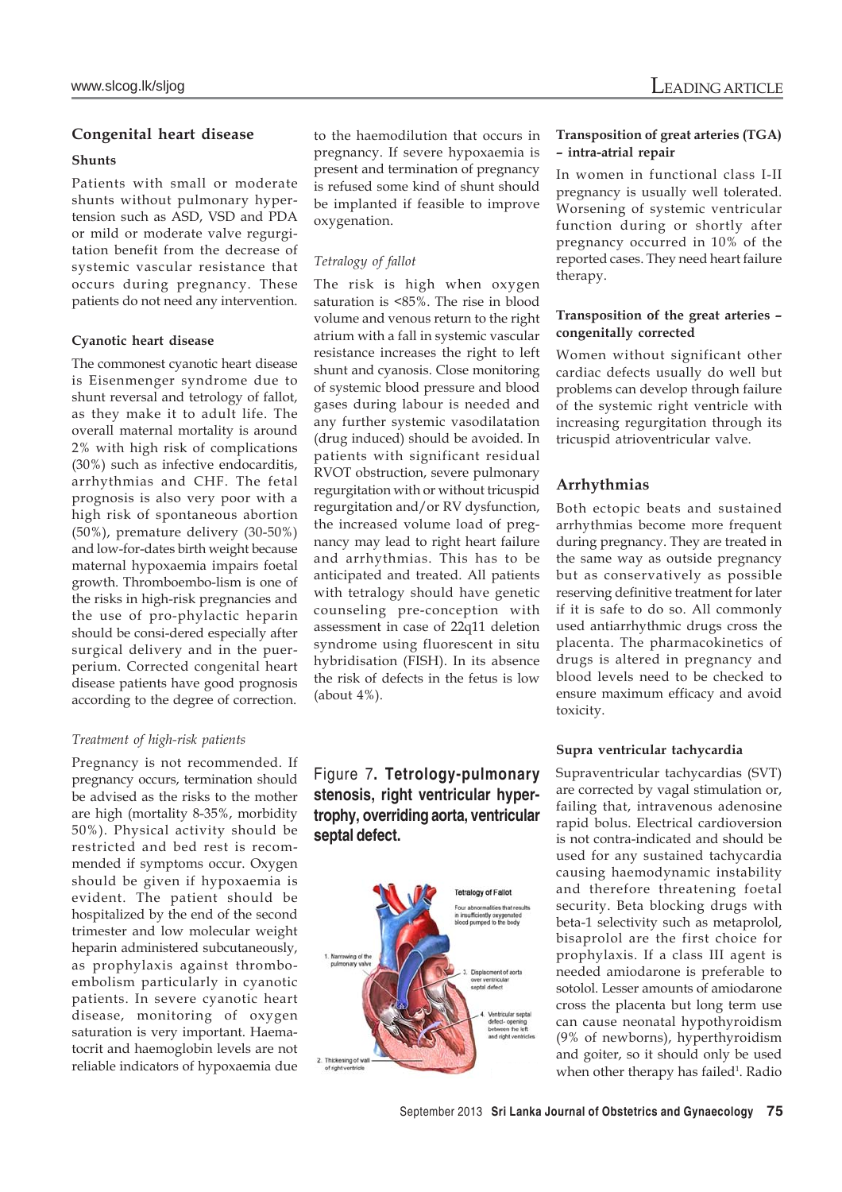# **Congenital heart disease**

# **Shunts**

Patients with small or moderate shunts without pulmonary hypertension such as ASD, VSD and PDA or mild or moderate valve regurgitation benefit from the decrease of systemic vascular resistance that occurs during pregnancy. These patients do not need any intervention.

### **Cyanotic heart disease**

The commonest cyanotic heart disease is Eisenmenger syndrome due to shunt reversal and tetrology of fallot, as they make it to adult life. The overall maternal mortality is around 2% with high risk of complications (30%) such as infective endocarditis, arrhythmias and CHF. The fetal prognosis is also very poor with a high risk of spontaneous abortion (50%), premature delivery (30-50%) and low-for-dates birth weight because maternal hypoxaemia impairs foetal growth. Thromboembo-lism is one of the risks in high-risk pregnancies and the use of pro-phylactic heparin should be consi-dered especially after surgical delivery and in the puerperium. Corrected congenital heart disease patients have good prognosis according to the degree of correction.

# *Treatment of high-risk patients*

Pregnancy is not recommended. If pregnancy occurs, termination should be advised as the risks to the mother are high (mortality 8-35%, morbidity 50%). Physical activity should be restricted and bed rest is recommended if symptoms occur. Oxygen should be given if hypoxaemia is evident. The patient should be hospitalized by the end of the second trimester and low molecular weight heparin administered subcutaneously, as prophylaxis against thromboembolism particularly in cyanotic patients. In severe cyanotic heart disease, monitoring of oxygen saturation is very important. Haematocrit and haemoglobin levels are not reliable indicators of hypoxaemia due to the haemodilution that occurs in pregnancy. If severe hypoxaemia is present and termination of pregnancy is refused some kind of shunt should be implanted if feasible to improve oxygenation.

### *Tetralogy of fallot*

The risk is high when oxygen saturation is <85%. The rise in blood volume and venous return to the right atrium with a fall in systemic vascular resistance increases the right to left shunt and cyanosis. Close monitoring of systemic blood pressure and blood gases during labour is needed and any further systemic vasodilatation (drug induced) should be avoided. In patients with significant residual RVOT obstruction, severe pulmonary regurgitation with or without tricuspid regurgitation and/or RV dysfunction, the increased volume load of pregnancy may lead to right heart failure and arrhythmias. This has to be anticipated and treated. All patients with tetralogy should have genetic counseling pre-conception with assessment in case of 22q11 deletion syndrome using fluorescent in situ hybridisation (FISH). In its absence the risk of defects in the fetus is low (about 4%).

# Figure 7**. Tetrology-pulmonary stenosis, right ventricular hypertrophy, overriding aorta, ventricular septal defect.**



## **Transposition of great arteries (TGA) – intra-atrial repair**

In women in functional class I-II pregnancy is usually well tolerated. Worsening of systemic ventricular function during or shortly after pregnancy occurred in 10% of the reported cases. They need heart failure therapy.

### **Transposition of the great arteries – congenitally corrected**

Women without significant other cardiac defects usually do well but problems can develop through failure of the systemic right ventricle with increasing regurgitation through its tricuspid atrioventricular valve.

# **Arrhythmias**

Both ectopic beats and sustained arrhythmias become more frequent during pregnancy. They are treated in the same way as outside pregnancy but as conservatively as possible reserving definitive treatment for later if it is safe to do so. All commonly used antiarrhythmic drugs cross the placenta. The pharmacokinetics of drugs is altered in pregnancy and blood levels need to be checked to ensure maximum efficacy and avoid toxicity.

### **Supra ventricular tachycardia**

Supraventricular tachycardias (SVT) are corrected by vagal stimulation or, failing that, intravenous adenosine rapid bolus. Electrical cardioversion is not contra-indicated and should be used for any sustained tachycardia causing haemodynamic instability and therefore threatening foetal security. Beta blocking drugs with beta-1 selectivity such as metaprolol, bisaprolol are the first choice for prophylaxis. If a class III agent is needed amiodarone is preferable to sotolol. Lesser amounts of amiodarone cross the placenta but long term use can cause neonatal hypothyroidism (9% of newborns), hyperthyroidism and goiter, so it should only be used when other therapy has failed<sup>1</sup>. Radio